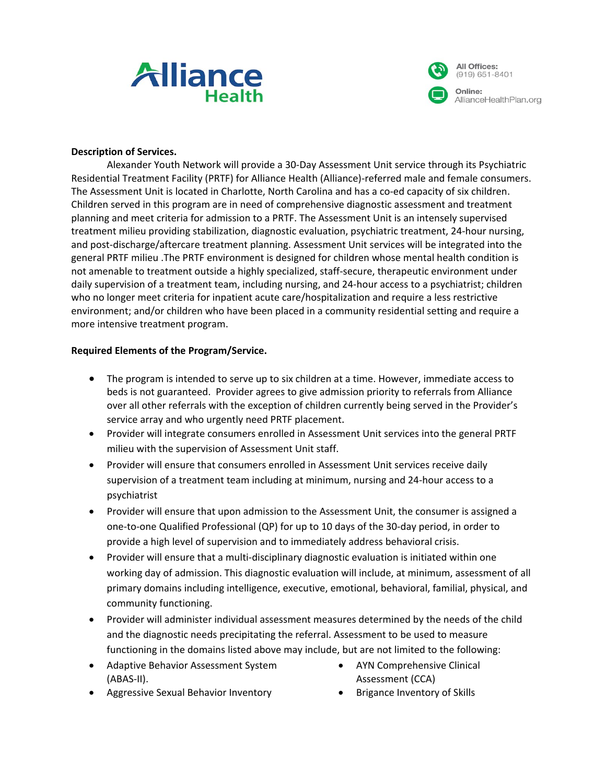



AllianceHealthPlan.org

#### **Description of Services.**

Alexander Youth Network will provide a 30-Day Assessment Unit service through its Psychiatric Residential Treatment Facility (PRTF) for Alliance Health (Alliance)-referred male and female consumers. The Assessment Unit is located in Charlotte, North Carolina and has a co-ed capacity of six children. Children served in this program are in need of comprehensive diagnostic assessment and treatment planning and meet criteria for admission to a PRTF. The Assessment Unit is an intensely supervised treatment milieu providing stabilization, diagnostic evaluation, psychiatric treatment, 24-hour nursing, and post-discharge/aftercare treatment planning. Assessment Unit services will be integrated into the general PRTF milieu .The PRTF environment is designed for children whose mental health condition is not amenable to treatment outside a highly specialized, staff-secure, therapeutic environment under daily supervision of a treatment team, including nursing, and 24-hour access to a psychiatrist; children who no longer meet criteria for inpatient acute care/hospitalization and require a less restrictive environment; and/or children who have been placed in a community residential setting and require a more intensive treatment program.

#### **Required Elements of the Program/Service.**

- The program is intended to serve up to six children at a time. However, immediate access to beds is not guaranteed. Provider agrees to give admission priority to referrals from Alliance over all other referrals with the exception of children currently being served in the Provider's service array and who urgently need PRTF placement.
- Provider will integrate consumers enrolled in Assessment Unit services into the general PRTF milieu with the supervision of Assessment Unit staff.
- Provider will ensure that consumers enrolled in Assessment Unit services receive daily supervision of a treatment team including at minimum, nursing and 24-hour access to a psychiatrist
- Provider will ensure that upon admission to the Assessment Unit, the consumer is assigned a one-to-one Qualified Professional (QP) for up to 10 days of the 30-day period, in order to provide a high level of supervision and to immediately address behavioral crisis.
- Provider will ensure that a multi-disciplinary diagnostic evaluation is initiated within one working day of admission. This diagnostic evaluation will include, at minimum, assessment of all primary domains including intelligence, executive, emotional, behavioral, familial, physical, and community functioning.
- Provider will administer individual assessment measures determined by the needs of the child and the diagnostic needs precipitating the referral. Assessment to be used to measure functioning in the domains listed above may include, but are not limited to the following:
- Adaptive Behavior Assessment System (ABAS-II).
- AYN Comprehensive Clinical Assessment (CCA)
- Aggressive Sexual Behavior Inventory
- Brigance Inventory of Skills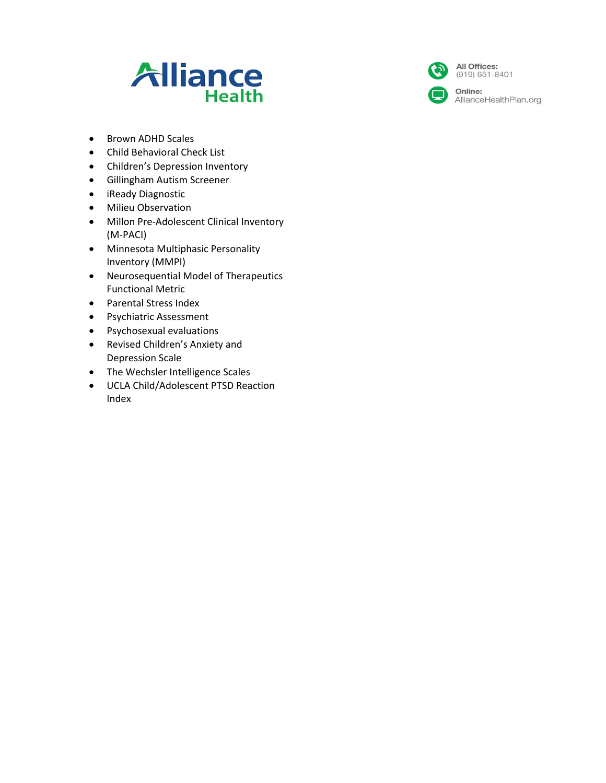



All Offices:  $(919) 651 - 8401$ 

Online: AllianceHealthPlan.org

- Brown ADHD Scales
- Child Behavioral Check List
- Children's Depression Inventory
- Gillingham Autism Screener
- iReady Diagnostic
- Milieu Observation
- Millon Pre-Adolescent Clinical Inventory (M-PACI)
- Minnesota Multiphasic Personality Inventory (MMPI)
- Neurosequential Model of Therapeutics Functional Metric
- Parental Stress Index
- Psychiatric Assessment
- Psychosexual evaluations
- Revised Children's Anxiety and Depression Scale
- The Wechsler Intelligence Scales
- UCLA Child/Adolescent PTSD Reaction Index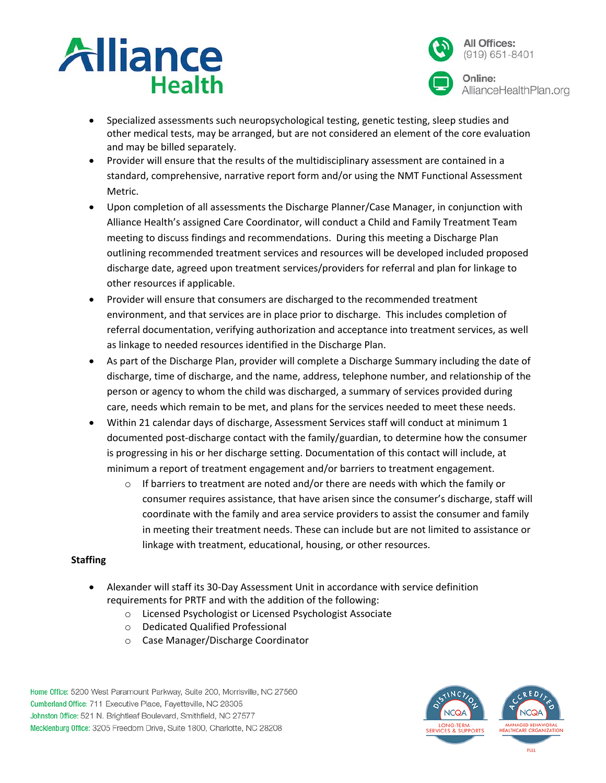



- Specialized assessments such neuropsychological testing, genetic testing, sleep studies and other medical tests, may be arranged, but are not considered an element of the core evaluation and may be billed separately.
- Provider will ensure that the results of the multidisciplinary assessment are contained in a standard, comprehensive, narrative report form and/or using the NMT Functional Assessment Metric.
- Upon completion of all assessments the Discharge Planner/Case Manager, in conjunction with Alliance Health's assigned Care Coordinator, will conduct a Child and Family Treatment Team meeting to discuss findings and recommendations. During this meeting a Discharge Plan outlining recommended treatment services and resources will be developed included proposed discharge date, agreed upon treatment services/providers for referral and plan for linkage to other resources if applicable.
- Provider will ensure that consumers are discharged to the recommended treatment environment, and that services are in place prior to discharge. This includes completion of referral documentation, verifying authorization and acceptance into treatment services, as well as linkage to needed resources identified in the Discharge Plan.
- As part of the Discharge Plan, provider will complete a Discharge Summary including the date of discharge, time of discharge, and the name, address, telephone number, and relationship of the person or agency to whom the child was discharged, a summary of services provided during care, needs which remain to be met, and plans for the services needed to meet these needs.
- Within 21 calendar days of discharge, Assessment Services staff will conduct at minimum 1 documented post-discharge contact with the family/guardian, to determine how the consumer is progressing in his or her discharge setting. Documentation of this contact will include, at minimum a report of treatment engagement and/or barriers to treatment engagement.
	- $\circ$  If barriers to treatment are noted and/or there are needs with which the family or consumer requires assistance, that have arisen since the consumer's discharge, staff will coordinate with the family and area service providers to assist the consumer and family in meeting their treatment needs. These can include but are not limited to assistance or linkage with treatment, educational, housing, or other resources.

# **Staffing**

- Alexander will staff its 30-Day Assessment Unit in accordance with service definition requirements for PRTF and with the addition of the following:
	- o Licensed Psychologist or Licensed Psychologist Associate
	- o Dedicated Qualified Professional
	- o Case Manager/Discharge Coordinator

Home Office: 5200 West Paramount Parkway, Suite 200, Morrisville, NC 27560 Cumberland Office: 711 Executive Place, Fayetteville, NC 28305 Johnston Office: 521 N. Brightleaf Boulevard, Smithfield, NC 27577 Mecklenburg Office: 3205 Freedom Drive, Suite 1800, Charlotte, NC 28208

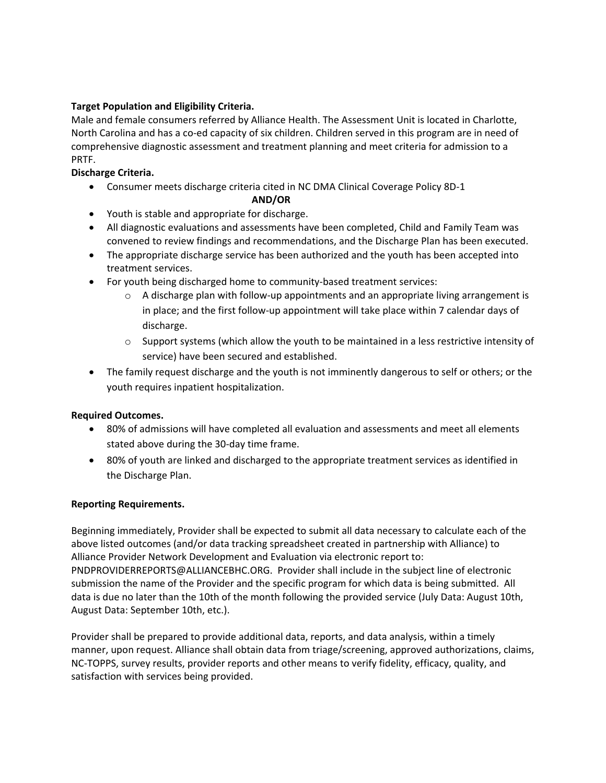## **Target Population and Eligibility Criteria.**

Male and female consumers referred by Alliance Health. The Assessment Unit is located in Charlotte, North Carolina and has a co-ed capacity of six children. Children served in this program are in need of comprehensive diagnostic assessment and treatment planning and meet criteria for admission to a PRTF.

## **Discharge Criteria.**

- Consumer meets discharge criteria cited in NC DMA Clinical Coverage Policy 8D-1 **AND/OR**
- Youth is stable and appropriate for discharge.
- All diagnostic evaluations and assessments have been completed, Child and Family Team was convened to review findings and recommendations, and the Discharge Plan has been executed.
- The appropriate discharge service has been authorized and the youth has been accepted into treatment services.
- For youth being discharged home to community-based treatment services:
	- $\circ$  A discharge plan with follow-up appointments and an appropriate living arrangement is in place; and the first follow-up appointment will take place within 7 calendar days of discharge.
	- $\circ$  Support systems (which allow the youth to be maintained in a less restrictive intensity of service) have been secured and established.
- The family request discharge and the youth is not imminently dangerous to self or others; or the youth requires inpatient hospitalization.

## **Required Outcomes.**

- 80% of admissions will have completed all evaluation and assessments and meet all elements stated above during the 30-day time frame.
- 80% of youth are linked and discharged to the appropriate treatment services as identified in the Discharge Plan.

## **Reporting Requirements.**

Beginning immediately, Provider shall be expected to submit all data necessary to calculate each of the above listed outcomes (and/or data tracking spreadsheet created in partnership with Alliance) to Alliance Provider Network Development and Evaluation via electronic report to: PNDPROVIDERREPORTS@ALLIANCEBHC.ORG. Provider shall include in the subject line of electronic submission the name of the Provider and the specific program for which data is being submitted. All data is due no later than the 10th of the month following the provided service (July Data: August 10th, August Data: September 10th, etc.).

Provider shall be prepared to provide additional data, reports, and data analysis, within a timely manner, upon request. Alliance shall obtain data from triage/screening, approved authorizations, claims, NC-TOPPS, survey results, provider reports and other means to verify fidelity, efficacy, quality, and satisfaction with services being provided.